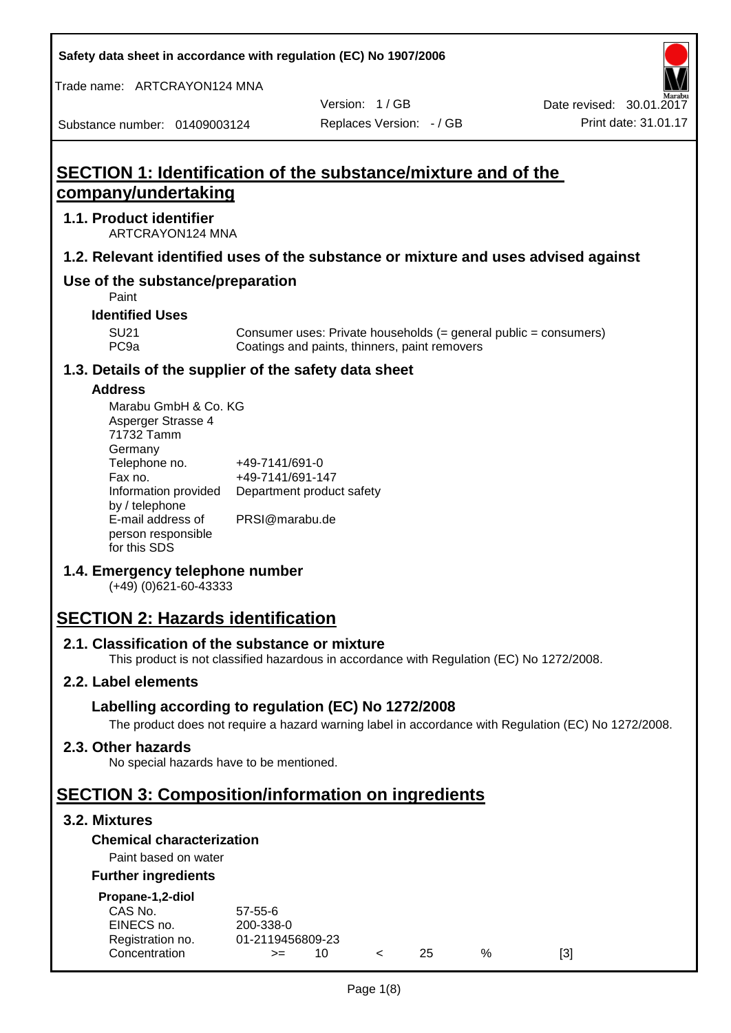**Safety data sheet in accordance with regulation (EC) No 1907/2006**

Trade name: ARTCRAYON124 MNA

Substance number: 01409003124

Version: 1 / GB

# **SECTION 1: Identification of the substance/mixture and of the company/undertaking**

## **1.1. Product identifier**

ARTCRAYON124 MNA

## **1.2. Relevant identified uses of the substance or mixture and uses advised against**

# **Use of the substance/preparation**

Paint

**Identified Uses**

SU21 Consumer uses: Private households (= general public = consumers)<br>PC9a Coatings and paints, thinners, paint removers Coatings and paints, thinners, paint removers

#### **1.3. Details of the supplier of the safety data sheet**

#### **Address**

| Marabu GmbH & Co. KG |                           |
|----------------------|---------------------------|
| Asperger Strasse 4   |                           |
| 71732 Tamm           |                           |
| Germany              |                           |
| Telephone no.        | +49-7141/691-0            |
| Fax no.              | +49-7141/691-147          |
| Information provided | Department product safety |
| by / telephone       |                           |
| E-mail address of    | PRSI@marabu.de            |
| person responsible   |                           |
| for this SDS         |                           |

## **1.4. Emergency telephone number**

(+49) (0)621-60-43333

# **SECTION 2: Hazards identification**

#### **2.1. Classification of the substance or mixture**

This product is not classified hazardous in accordance with Regulation (EC) No 1272/2008.

## **2.2. Label elements**

## **Labelling according to regulation (EC) No 1272/2008**

The product does not require a hazard warning label in accordance with Regulation (EC) No 1272/2008.

#### **2.3. Other hazards**

No special hazards have to be mentioned.

# **SECTION 3: Composition/information on ingredients**

## **3.2. Mixtures**

## **Chemical characterization**

## Paint based on water

#### **Further ingredients**

| Propane-1,2-diol |  |
|------------------|--|
|                  |  |

| CAS No.          | 57-55-6          |  |     |   |     |
|------------------|------------------|--|-----|---|-----|
| EINECS no.       | 200-338-0        |  |     |   |     |
| Registration no. | 01-2119456809-23 |  |     |   |     |
| Concentration    | $>=$             |  | 25. | % | [3] |
|                  |                  |  |     |   |     |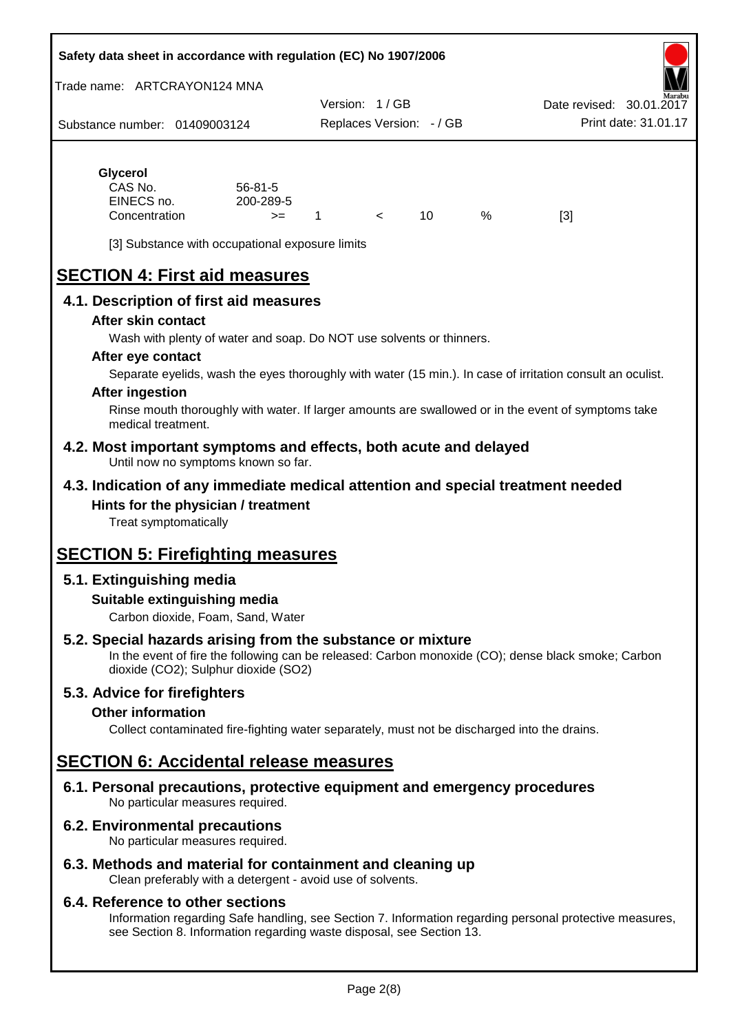#### **Safety data sheet in accordance with regulation (EC) No 1907/2006**

Trade name: ARTCRAYON124 MNA

Substance number: 01409003124 Version: 1 / GB Replaces Version: - / GB Print date: 31.01.17 Date revised: 30.01.2

# **Glycerol**

| CAS No.       | $56 - 81 - 5$ |  |   |     |
|---------------|---------------|--|---|-----|
| EINECS no.    | 200-289-5     |  |   |     |
| Concentration | $>=$          |  | % | [3] |

[3] Substance with occupational exposure limits

# **SECTION 4: First aid measures**

## **4.1. Description of first aid measures**

#### **After skin contact**

Wash with plenty of water and soap. Do NOT use solvents or thinners.

#### **After eye contact**

Separate eyelids, wash the eyes thoroughly with water (15 min.). In case of irritation consult an oculist.

#### **After ingestion**

Rinse mouth thoroughly with water. If larger amounts are swallowed or in the event of symptoms take medical treatment.

#### **4.2. Most important symptoms and effects, both acute and delayed** Until now no symptoms known so far.

## **4.3. Indication of any immediate medical attention and special treatment needed Hints for the physician / treatment**

Treat symptomatically

# **SECTION 5: Firefighting measures**

# **5.1. Extinguishing media**

## **Suitable extinguishing media**

Carbon dioxide, Foam, Sand, Water

# **5.2. Special hazards arising from the substance or mixture**

In the event of fire the following can be released: Carbon monoxide (CO); dense black smoke; Carbon dioxide (CO2); Sulphur dioxide (SO2)

## **5.3. Advice for firefighters**

#### **Other information**

Collect contaminated fire-fighting water separately, must not be discharged into the drains.

# **SECTION 6: Accidental release measures**

**6.1. Personal precautions, protective equipment and emergency procedures** No particular measures required.

## **6.2. Environmental precautions**

No particular measures required.

## **6.3. Methods and material for containment and cleaning up**

Clean preferably with a detergent - avoid use of solvents.

#### **6.4. Reference to other sections**

Information regarding Safe handling, see Section 7. Information regarding personal protective measures, see Section 8. Information regarding waste disposal, see Section 13.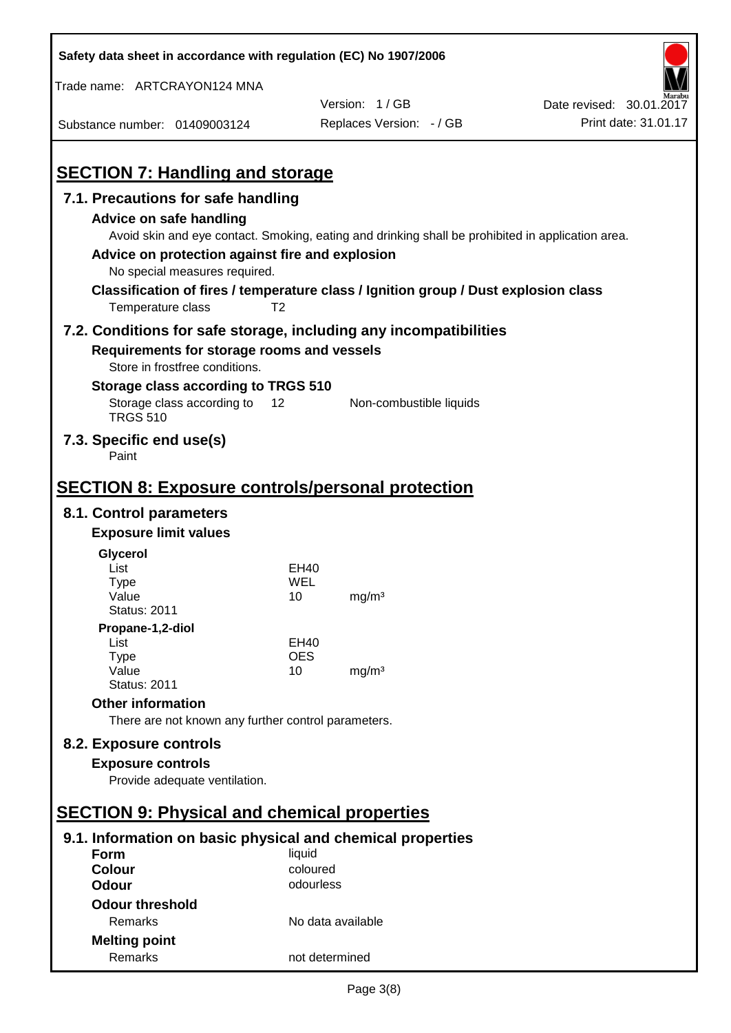| Safety data sheet in accordance with regulation (EC) No 1907/2006                                                                                                                                                                                                                                                            |                   |                          |                          |
|------------------------------------------------------------------------------------------------------------------------------------------------------------------------------------------------------------------------------------------------------------------------------------------------------------------------------|-------------------|--------------------------|--------------------------|
| Trade name: ARTCRAYON124 MNA                                                                                                                                                                                                                                                                                                 |                   |                          |                          |
|                                                                                                                                                                                                                                                                                                                              |                   | Version: 1/GB            | Date revised: 30.01.2017 |
| Substance number: 01409003124                                                                                                                                                                                                                                                                                                |                   | Replaces Version: - / GB | Print date: 31.01.17     |
| <b>SECTION 7: Handling and storage</b>                                                                                                                                                                                                                                                                                       |                   |                          |                          |
| 7.1. Precautions for safe handling                                                                                                                                                                                                                                                                                           |                   |                          |                          |
| Advice on safe handling<br>Avoid skin and eye contact. Smoking, eating and drinking shall be prohibited in application area.<br>Advice on protection against fire and explosion<br>No special measures required.<br>Classification of fires / temperature class / Ignition group / Dust explosion class<br>Temperature class | T <sub>2</sub>    |                          |                          |
| 7.2. Conditions for safe storage, including any incompatibilities<br>Requirements for storage rooms and vessels                                                                                                                                                                                                              |                   |                          |                          |
| Store in frostfree conditions.                                                                                                                                                                                                                                                                                               |                   |                          |                          |
| Storage class according to TRGS 510<br>Storage class according to<br><b>TRGS 510</b>                                                                                                                                                                                                                                         | 12                | Non-combustible liquids  |                          |
| 7.3. Specific end use(s)<br>Paint                                                                                                                                                                                                                                                                                            |                   |                          |                          |
| <b>SECTION 8: Exposure controls/personal protection</b>                                                                                                                                                                                                                                                                      |                   |                          |                          |
| 8.1. Control parameters                                                                                                                                                                                                                                                                                                      |                   |                          |                          |
| <b>Exposure limit values</b>                                                                                                                                                                                                                                                                                                 |                   |                          |                          |
| Glycerol                                                                                                                                                                                                                                                                                                                     |                   |                          |                          |
| List                                                                                                                                                                                                                                                                                                                         | EH40              |                          |                          |
| Type                                                                                                                                                                                                                                                                                                                         | WEL               |                          |                          |
| Value<br><b>Status: 2011</b>                                                                                                                                                                                                                                                                                                 | 10                | mg/m <sup>3</sup>        |                          |
| Propane-1,2-diol                                                                                                                                                                                                                                                                                                             |                   |                          |                          |
| List                                                                                                                                                                                                                                                                                                                         | EH40              |                          |                          |
| <b>Type</b>                                                                                                                                                                                                                                                                                                                  | <b>OES</b>        |                          |                          |
| Value<br><b>Status: 2011</b>                                                                                                                                                                                                                                                                                                 | 10                | mg/m <sup>3</sup>        |                          |
| <b>Other information</b>                                                                                                                                                                                                                                                                                                     |                   |                          |                          |
| There are not known any further control parameters.                                                                                                                                                                                                                                                                          |                   |                          |                          |
| 8.2. Exposure controls                                                                                                                                                                                                                                                                                                       |                   |                          |                          |
| <b>Exposure controls</b>                                                                                                                                                                                                                                                                                                     |                   |                          |                          |
| Provide adequate ventilation.                                                                                                                                                                                                                                                                                                |                   |                          |                          |
|                                                                                                                                                                                                                                                                                                                              |                   |                          |                          |
| <b>SECTION 9: Physical and chemical properties</b>                                                                                                                                                                                                                                                                           |                   |                          |                          |
| 9.1. Information on basic physical and chemical properties                                                                                                                                                                                                                                                                   |                   |                          |                          |
| Form                                                                                                                                                                                                                                                                                                                         | liquid            |                          |                          |
| <b>Colour</b>                                                                                                                                                                                                                                                                                                                | coloured          |                          |                          |
| <b>Odour</b>                                                                                                                                                                                                                                                                                                                 | odourless         |                          |                          |
| <b>Odour threshold</b>                                                                                                                                                                                                                                                                                                       |                   |                          |                          |
| Remarks                                                                                                                                                                                                                                                                                                                      | No data available |                          |                          |
| <b>Melting point</b>                                                                                                                                                                                                                                                                                                         |                   |                          |                          |
| Remarks                                                                                                                                                                                                                                                                                                                      | not determined    |                          |                          |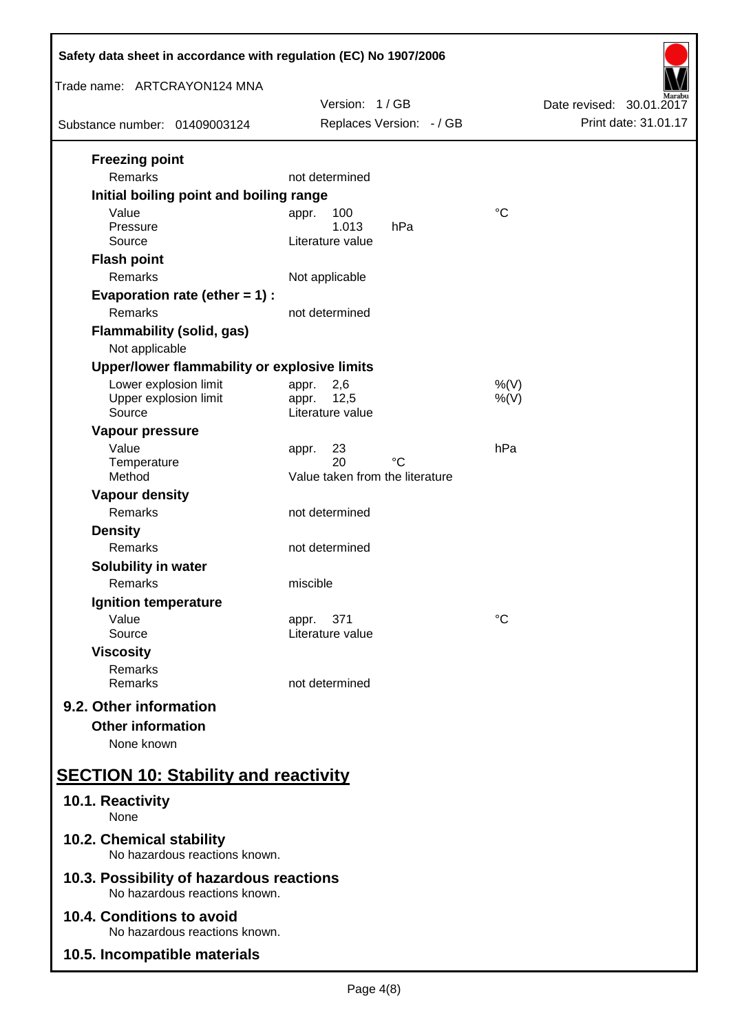| Safety data sheet in accordance with regulation (EC) No 1907/2006         |                                           |                                                  |  |  |
|---------------------------------------------------------------------------|-------------------------------------------|--------------------------------------------------|--|--|
| Trade name: ARTCRAYON124 MNA                                              |                                           |                                                  |  |  |
| Substance number: 01409003124                                             | Version: 1/GB<br>Replaces Version: - / GB | Date revised: 30.01.2017<br>Print date: 31.01.17 |  |  |
|                                                                           |                                           |                                                  |  |  |
| <b>Freezing point</b>                                                     |                                           |                                                  |  |  |
| Remarks                                                                   | not determined                            |                                                  |  |  |
| Initial boiling point and boiling range                                   |                                           |                                                  |  |  |
| Value<br>Pressure                                                         | 100<br>appr.<br>1.013<br>hPa              | $^{\circ}C$                                      |  |  |
| Source                                                                    | Literature value                          |                                                  |  |  |
| <b>Flash point</b>                                                        |                                           |                                                  |  |  |
| Remarks                                                                   | Not applicable                            |                                                  |  |  |
| Evaporation rate (ether $= 1$ ) :                                         |                                           |                                                  |  |  |
| Remarks                                                                   | not determined                            |                                                  |  |  |
| <b>Flammability (solid, gas)</b>                                          |                                           |                                                  |  |  |
| Not applicable                                                            |                                           |                                                  |  |  |
| Upper/lower flammability or explosive limits                              |                                           |                                                  |  |  |
| Lower explosion limit                                                     | 2,6<br>appr.                              | $%$ (V)                                          |  |  |
| Upper explosion limit<br>Source                                           | 12,5<br>appr.<br>Literature value         | $%$ (V)                                          |  |  |
|                                                                           |                                           |                                                  |  |  |
| Vapour pressure<br>Value                                                  | 23                                        | hPa                                              |  |  |
| Temperature                                                               | appr.<br>20<br>°C                         |                                                  |  |  |
| Method                                                                    | Value taken from the literature           |                                                  |  |  |
| <b>Vapour density</b>                                                     |                                           |                                                  |  |  |
| Remarks                                                                   | not determined                            |                                                  |  |  |
| <b>Density</b>                                                            |                                           |                                                  |  |  |
| Remarks                                                                   | not determined                            |                                                  |  |  |
| Solubility in water                                                       |                                           |                                                  |  |  |
| Remarks                                                                   | miscible                                  |                                                  |  |  |
| Ignition temperature                                                      |                                           |                                                  |  |  |
| Value<br>Source                                                           | 371<br>appr.<br>Literature value          | $^{\circ}C$                                      |  |  |
| <b>Viscosity</b>                                                          |                                           |                                                  |  |  |
| Remarks                                                                   |                                           |                                                  |  |  |
| Remarks                                                                   | not determined                            |                                                  |  |  |
| 9.2. Other information                                                    |                                           |                                                  |  |  |
| <b>Other information</b>                                                  |                                           |                                                  |  |  |
| None known                                                                |                                           |                                                  |  |  |
| <b>SECTION 10: Stability and reactivity</b>                               |                                           |                                                  |  |  |
| 10.1. Reactivity<br>None                                                  |                                           |                                                  |  |  |
| 10.2. Chemical stability<br>No hazardous reactions known.                 |                                           |                                                  |  |  |
| 10.3. Possibility of hazardous reactions<br>No hazardous reactions known. |                                           |                                                  |  |  |
| 10.4. Conditions to avoid<br>No hazardous reactions known.                |                                           |                                                  |  |  |
| 10.5. Incompatible materials                                              |                                           |                                                  |  |  |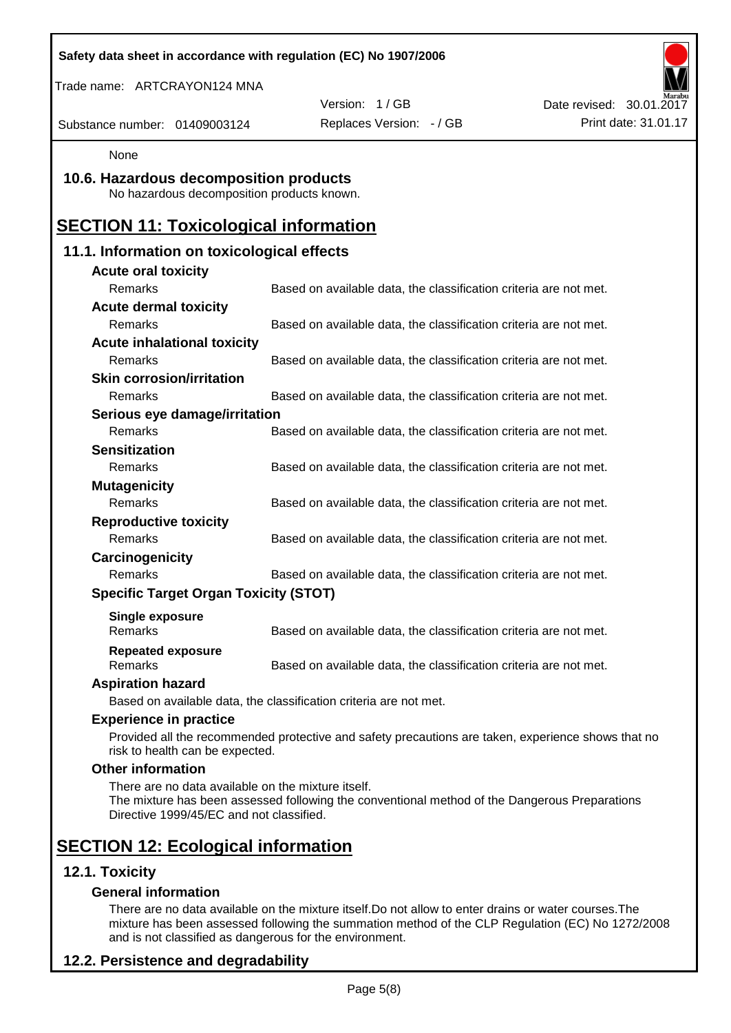| Safety data sheet in accordance with regulation (EC) No 1907/2006                              |                                                                                                    |                          |
|------------------------------------------------------------------------------------------------|----------------------------------------------------------------------------------------------------|--------------------------|
| Trade name: ARTCRAYON124 MNA                                                                   |                                                                                                    |                          |
|                                                                                                | Version: 1 / GB                                                                                    | Date revised: 30.01.2017 |
| Substance number: 01409003124                                                                  | Replaces Version: - / GB                                                                           | Print date: 31.01.17     |
| None                                                                                           |                                                                                                    |                          |
| 10.6. Hazardous decomposition products<br>No hazardous decomposition products known.           |                                                                                                    |                          |
| <b>SECTION 11: Toxicological information</b>                                                   |                                                                                                    |                          |
| 11.1. Information on toxicological effects                                                     |                                                                                                    |                          |
| <b>Acute oral toxicity</b>                                                                     |                                                                                                    |                          |
| Remarks                                                                                        | Based on available data, the classification criteria are not met.                                  |                          |
| <b>Acute dermal toxicity</b><br>Remarks                                                        | Based on available data, the classification criteria are not met.                                  |                          |
| <b>Acute inhalational toxicity</b>                                                             |                                                                                                    |                          |
| Remarks                                                                                        | Based on available data, the classification criteria are not met.                                  |                          |
| <b>Skin corrosion/irritation</b>                                                               |                                                                                                    |                          |
| Remarks                                                                                        | Based on available data, the classification criteria are not met.                                  |                          |
| Serious eye damage/irritation                                                                  |                                                                                                    |                          |
| Remarks                                                                                        | Based on available data, the classification criteria are not met.                                  |                          |
| <b>Sensitization</b>                                                                           |                                                                                                    |                          |
| Remarks                                                                                        | Based on available data, the classification criteria are not met.                                  |                          |
| <b>Mutagenicity</b>                                                                            |                                                                                                    |                          |
| Remarks                                                                                        | Based on available data, the classification criteria are not met.                                  |                          |
| <b>Reproductive toxicity</b>                                                                   |                                                                                                    |                          |
| Remarks                                                                                        | Based on available data, the classification criteria are not met.                                  |                          |
| Carcinogenicity                                                                                |                                                                                                    |                          |
| Remarks                                                                                        | Based on available data, the classification criteria are not met.                                  |                          |
| <b>Specific Target Organ Toxicity (STOT)</b>                                                   |                                                                                                    |                          |
| <b>Single exposure</b><br>Remarks                                                              | Based on available data, the classification criteria are not met.                                  |                          |
| <b>Repeated exposure</b><br>Remarks                                                            | Based on available data, the classification criteria are not met.                                  |                          |
| <b>Aspiration hazard</b>                                                                       |                                                                                                    |                          |
|                                                                                                | Based on available data, the classification criteria are not met.                                  |                          |
| <b>Experience in practice</b>                                                                  |                                                                                                    |                          |
| risk to health can be expected.                                                                | Provided all the recommended protective and safety precautions are taken, experience shows that no |                          |
| <b>Other information</b>                                                                       |                                                                                                    |                          |
| There are no data available on the mixture itself.<br>Directive 1999/45/EC and not classified. | The mixture has been assessed following the conventional method of the Dangerous Preparations      |                          |
| <b>SECTION 12: Ecological information</b>                                                      |                                                                                                    |                          |
| 12.1. Toxicity                                                                                 |                                                                                                    |                          |
| <b>General information</b>                                                                     |                                                                                                    |                          |

There are no data available on the mixture itself.Do not allow to enter drains or water courses.The mixture has been assessed following the summation method of the CLP Regulation (EC) No 1272/2008 and is not classified as dangerous for the environment.

# **12.2. Persistence and degradability**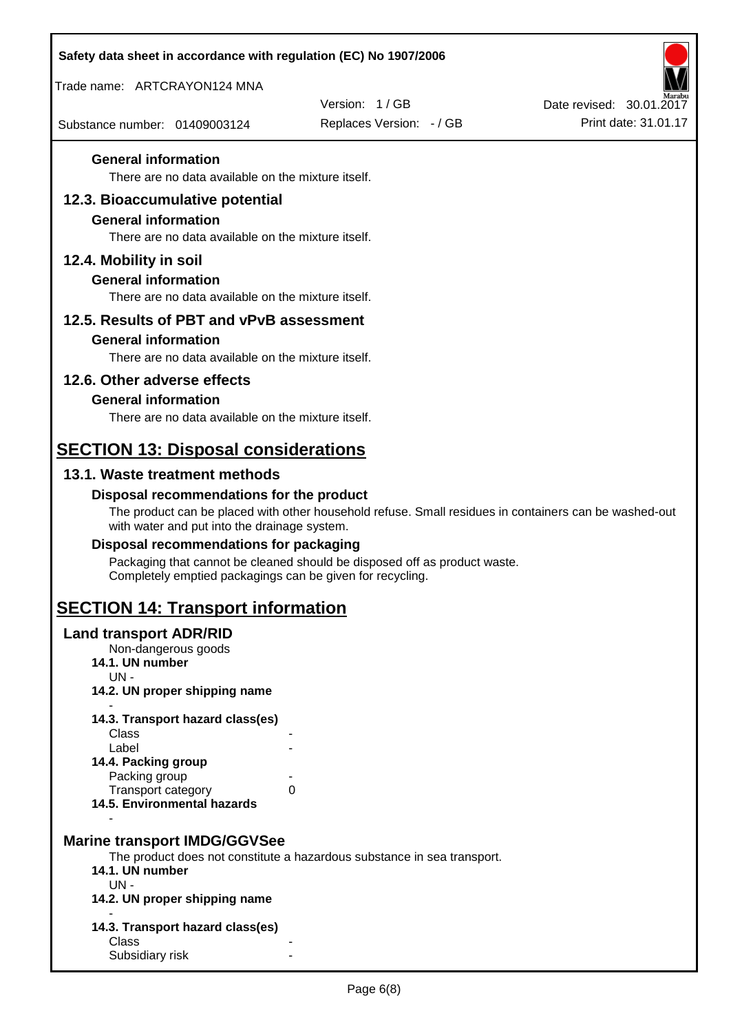| Safety data sheet in accordance with regulation (EC) No 1907/2006 |                                                                                                       |                                                  |
|-------------------------------------------------------------------|-------------------------------------------------------------------------------------------------------|--------------------------------------------------|
| Trade name: ARTCRAYON124 MNA                                      |                                                                                                       |                                                  |
| Substance number: 01409003124                                     | Version: 1/GB<br>Replaces Version: - / GB                                                             | Date revised: 30.01.2017<br>Print date: 31.01.17 |
|                                                                   |                                                                                                       |                                                  |
| <b>General information</b>                                        |                                                                                                       |                                                  |
| There are no data available on the mixture itself.                |                                                                                                       |                                                  |
| 12.3. Bioaccumulative potential<br><b>General information</b>     |                                                                                                       |                                                  |
| There are no data available on the mixture itself.                |                                                                                                       |                                                  |
| 12.4. Mobility in soil                                            |                                                                                                       |                                                  |
| <b>General information</b>                                        |                                                                                                       |                                                  |
| There are no data available on the mixture itself.                |                                                                                                       |                                                  |
| 12.5. Results of PBT and vPvB assessment                          |                                                                                                       |                                                  |
| <b>General information</b>                                        |                                                                                                       |                                                  |
| There are no data available on the mixture itself.                |                                                                                                       |                                                  |
| 12.6. Other adverse effects<br><b>General information</b>         |                                                                                                       |                                                  |
| There are no data available on the mixture itself.                |                                                                                                       |                                                  |
| <b>SECTION 13: Disposal considerations</b>                        |                                                                                                       |                                                  |
| 13.1. Waste treatment methods                                     |                                                                                                       |                                                  |
| Disposal recommendations for the product                          |                                                                                                       |                                                  |
| with water and put into the drainage system.                      | The product can be placed with other household refuse. Small residues in containers can be washed-out |                                                  |
| Disposal recommendations for packaging                            |                                                                                                       |                                                  |
| Completely emptied packagings can be given for recycling.         | Packaging that cannot be cleaned should be disposed off as product waste.                             |                                                  |
| <b>SECTION 14: Transport information</b>                          |                                                                                                       |                                                  |
| <b>Land transport ADR/RID</b>                                     |                                                                                                       |                                                  |
| Non-dangerous goods<br>14.1. UN number                            |                                                                                                       |                                                  |
| $UN -$<br>14.2. UN proper shipping name                           |                                                                                                       |                                                  |
|                                                                   |                                                                                                       |                                                  |
| 14.3. Transport hazard class(es)<br>Class                         |                                                                                                       |                                                  |
| Label                                                             |                                                                                                       |                                                  |
| 14.4. Packing group<br>Packing group                              |                                                                                                       |                                                  |
| <b>Transport category</b><br>14.5. Environmental hazards          | 0                                                                                                     |                                                  |
|                                                                   |                                                                                                       |                                                  |
| <b>Marine transport IMDG/GGVSee</b>                               |                                                                                                       |                                                  |
| 14.1. UN number                                                   | The product does not constitute a hazardous substance in sea transport.                               |                                                  |
| $UN -$                                                            |                                                                                                       |                                                  |
| 14.2. UN proper shipping name                                     |                                                                                                       |                                                  |
| 14.3. Transport hazard class(es)                                  |                                                                                                       |                                                  |
| Class<br>Subsidiary risk                                          |                                                                                                       |                                                  |
|                                                                   |                                                                                                       |                                                  |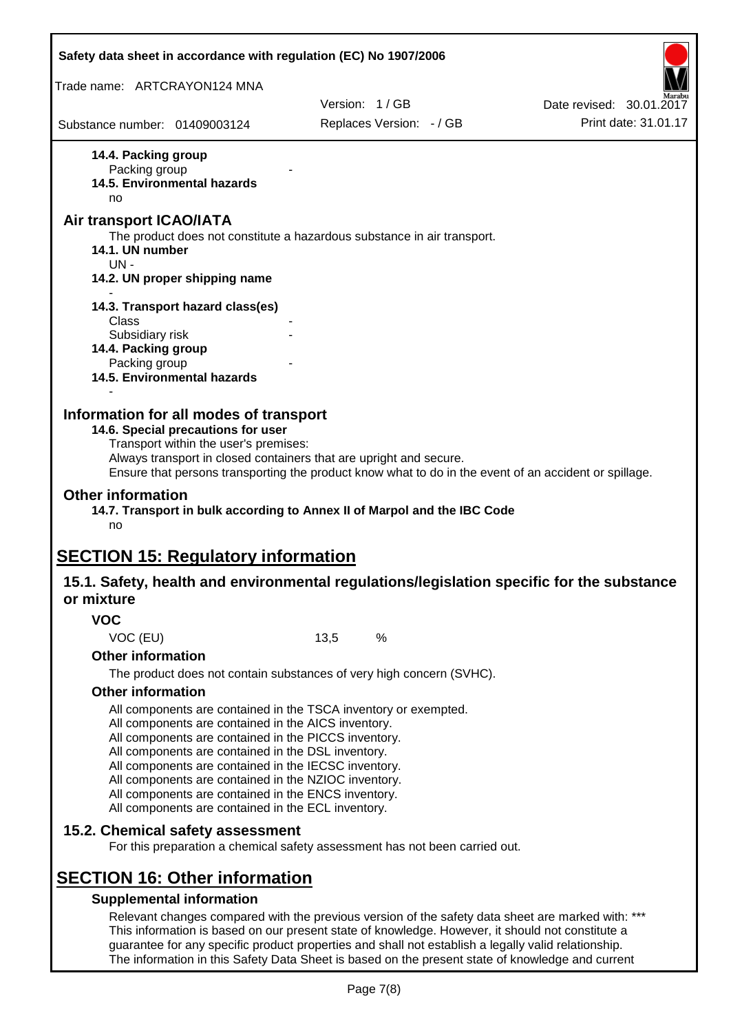| Trade name: ARTCRAYON124 MNA<br>Substance number: 01409003124<br>14.4. Packing group<br>Packing group<br><b>14.5. Environmental hazards</b><br>no<br>Air transport ICAO/IATA<br>The product does not constitute a hazardous substance in air transport.                                                                                                                                                                                                                                                            |      | Version: 1/GB<br>Replaces Version: - / GB | Date revised: 30.01.2017<br>Print date: 31.01.17 |
|--------------------------------------------------------------------------------------------------------------------------------------------------------------------------------------------------------------------------------------------------------------------------------------------------------------------------------------------------------------------------------------------------------------------------------------------------------------------------------------------------------------------|------|-------------------------------------------|--------------------------------------------------|
|                                                                                                                                                                                                                                                                                                                                                                                                                                                                                                                    |      |                                           |                                                  |
|                                                                                                                                                                                                                                                                                                                                                                                                                                                                                                                    |      |                                           |                                                  |
|                                                                                                                                                                                                                                                                                                                                                                                                                                                                                                                    |      |                                           |                                                  |
|                                                                                                                                                                                                                                                                                                                                                                                                                                                                                                                    |      |                                           |                                                  |
|                                                                                                                                                                                                                                                                                                                                                                                                                                                                                                                    |      |                                           |                                                  |
|                                                                                                                                                                                                                                                                                                                                                                                                                                                                                                                    |      |                                           |                                                  |
|                                                                                                                                                                                                                                                                                                                                                                                                                                                                                                                    |      |                                           |                                                  |
|                                                                                                                                                                                                                                                                                                                                                                                                                                                                                                                    |      |                                           |                                                  |
| 14.1. UN number<br>UN-                                                                                                                                                                                                                                                                                                                                                                                                                                                                                             |      |                                           |                                                  |
| 14.2. UN proper shipping name                                                                                                                                                                                                                                                                                                                                                                                                                                                                                      |      |                                           |                                                  |
|                                                                                                                                                                                                                                                                                                                                                                                                                                                                                                                    |      |                                           |                                                  |
| 14.3. Transport hazard class(es)                                                                                                                                                                                                                                                                                                                                                                                                                                                                                   |      |                                           |                                                  |
| Class<br>Subsidiary risk                                                                                                                                                                                                                                                                                                                                                                                                                                                                                           |      |                                           |                                                  |
| 14.4. Packing group                                                                                                                                                                                                                                                                                                                                                                                                                                                                                                |      |                                           |                                                  |
| Packing group                                                                                                                                                                                                                                                                                                                                                                                                                                                                                                      |      |                                           |                                                  |
| 14.5. Environmental hazards                                                                                                                                                                                                                                                                                                                                                                                                                                                                                        |      |                                           |                                                  |
| 14.6. Special precautions for user<br>Transport within the user's premises:<br>Always transport in closed containers that are upright and secure.<br>Ensure that persons transporting the product know what to do in the event of an accident or spillage.<br><b>Other information</b><br>14.7. Transport in bulk according to Annex II of Marpol and the IBC Code<br>no<br><b>SECTION 15: Regulatory information</b><br>15.1. Safety, health and environmental regulations/legislation specific for the substance |      |                                           |                                                  |
| or mixture                                                                                                                                                                                                                                                                                                                                                                                                                                                                                                         |      |                                           |                                                  |
| <b>VOC</b>                                                                                                                                                                                                                                                                                                                                                                                                                                                                                                         |      |                                           |                                                  |
| VOC (EU)                                                                                                                                                                                                                                                                                                                                                                                                                                                                                                           | 13,5 | $\%$                                      |                                                  |
| <b>Other information</b>                                                                                                                                                                                                                                                                                                                                                                                                                                                                                           |      |                                           |                                                  |
| The product does not contain substances of very high concern (SVHC).                                                                                                                                                                                                                                                                                                                                                                                                                                               |      |                                           |                                                  |
| <b>Other information</b>                                                                                                                                                                                                                                                                                                                                                                                                                                                                                           |      |                                           |                                                  |
| All components are contained in the TSCA inventory or exempted.<br>All components are contained in the AICS inventory.<br>All components are contained in the PICCS inventory.<br>All components are contained in the DSL inventory.<br>All components are contained in the IECSC inventory.<br>All components are contained in the NZIOC inventory.<br>All components are contained in the ENCS inventory.<br>All components are contained in the ECL inventory.                                                  |      |                                           |                                                  |
| 15.2. Chemical safety assessment                                                                                                                                                                                                                                                                                                                                                                                                                                                                                   |      |                                           |                                                  |
| For this preparation a chemical safety assessment has not been carried out.                                                                                                                                                                                                                                                                                                                                                                                                                                        |      |                                           |                                                  |
|                                                                                                                                                                                                                                                                                                                                                                                                                                                                                                                    |      |                                           |                                                  |
|                                                                                                                                                                                                                                                                                                                                                                                                                                                                                                                    |      |                                           |                                                  |
| <b>SECTION 16: Other information</b><br><b>Supplemental information</b>                                                                                                                                                                                                                                                                                                                                                                                                                                            |      |                                           |                                                  |

guarantee for any specific product properties and shall not establish a legally valid relationship. The information in this Safety Data Sheet is based on the present state of knowledge and current